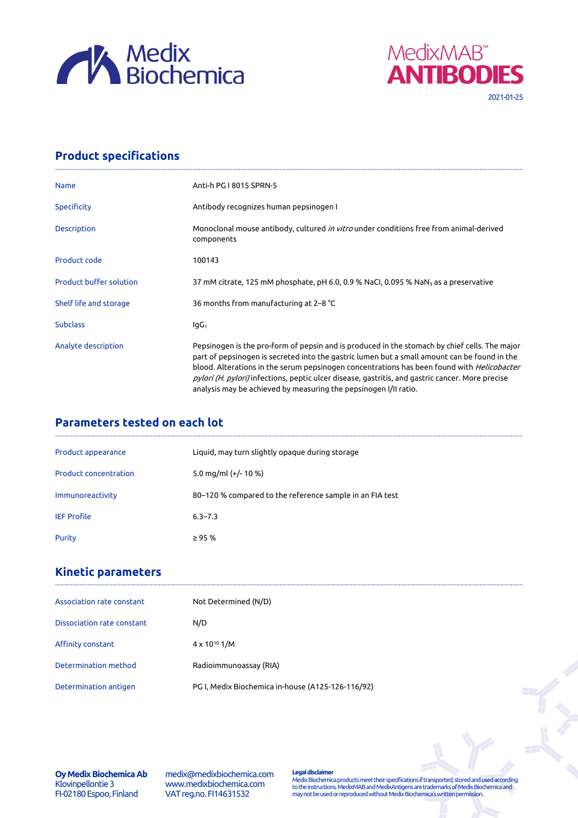



## **Product specifications**

| Anti-h PG I 8015 SPRN-5                                                                                                                                                                                                                                                                                                                                                                                                                                                    |  |  |  |  |  |
|----------------------------------------------------------------------------------------------------------------------------------------------------------------------------------------------------------------------------------------------------------------------------------------------------------------------------------------------------------------------------------------------------------------------------------------------------------------------------|--|--|--|--|--|
| Antibody recognizes human pepsinogen I                                                                                                                                                                                                                                                                                                                                                                                                                                     |  |  |  |  |  |
| Monoclonal mouse antibody, cultured <i>in vitro</i> under conditions free from animal-derived<br>components                                                                                                                                                                                                                                                                                                                                                                |  |  |  |  |  |
| 100143                                                                                                                                                                                                                                                                                                                                                                                                                                                                     |  |  |  |  |  |
| 37 mM citrate, 125 mM phosphate, pH 6.0, 0.9 % NaCl, 0.095 % NaN <sub>3</sub> as a preservative                                                                                                                                                                                                                                                                                                                                                                            |  |  |  |  |  |
| 36 months from manufacturing at 2–8 °C                                                                                                                                                                                                                                                                                                                                                                                                                                     |  |  |  |  |  |
| lgG <sub>1</sub>                                                                                                                                                                                                                                                                                                                                                                                                                                                           |  |  |  |  |  |
| Pepsinogen is the pro-form of pepsin and is produced in the stomach by chief cells. The major<br>part of pepsinogen is secreted into the gastric lumen but a small amount can be found in the<br>blood. Alterations in the serum pepsinogen concentrations has been found with <i>Helicobacter</i><br>pylori (H. pylori) infections, peptic ulcer disease, gastritis, and gastric cancer. More precise<br>analysis may be achieved by measuring the pepsinogen I/II ratio. |  |  |  |  |  |
|                                                                                                                                                                                                                                                                                                                                                                                                                                                                            |  |  |  |  |  |

## **Parameters tested on each lot**

| Product appearance           | Liquid, may turn slightly opaque during storage          |
|------------------------------|----------------------------------------------------------|
| <b>Product concentration</b> | 5.0 mg/ml $(+/- 10 %$                                    |
| Immunoreactivity             | 80–120 % compared to the reference sample in an FIA test |
| <b>IEF Profile</b>           | $6.3 - 7.3$                                              |
| Purity                       | $\geq$ 95 %                                              |

## **Kinetic parameters**

| Association rate constant  | Not Determined (N/D)                              |
|----------------------------|---------------------------------------------------|
| Dissociation rate constant | N/D                                               |
| Affinity constant          | $4 \times 10^{10}$ 1/M                            |
| Determination method       | Radioimmunoassay (RIA)                            |
| Determination antigen      | PG I, Medix Biochemica in-house (A125-126-116/92) |

**Oy Medix Biochemica Ab** Klovinpellontie 3 FI-02180 Espoo, Finland

medix@medixbiochemica.com www.medixbiochemica.com VAT reg.no. FI14631532

**Legal disclaimer** Medix Biochemica products meet their specifications if transported, stored and used according to the instructions. MedixMAB and MedixAntigens are trademarks of Medix Biochemica and may not be used or reproduced without Medix Biochemica's written permission.